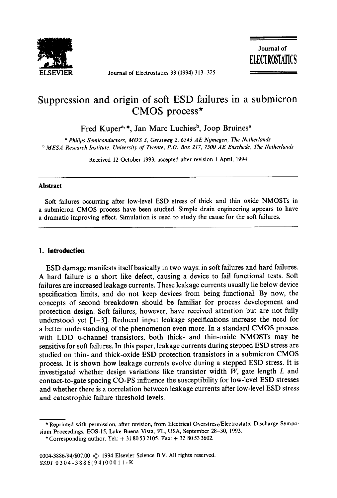

Journal of Electrostatics 33 (1994) 313-325

Journal of **ELECTROSTATI** 

# Suppression and origin of soft ESD failures in a submicron CMOS process<sup>\*</sup>

Fred Kuper<sup>a, \*</sup>, Jan Marc Luchies<sup>b</sup>, Joop Bruines<sup>a</sup>

*" Philips Semiconductors, MOS 3, Gerstweg 2, 6543 AE Nijmegen, The Netherlands b MESA Research Institute, University of Twente, P.O. Box 217, 7500 AE Enschede, The Netherlands* 

Received 12 October 1993; accepted after revision 1 April, 1994

#### **Abstract**

Soft failures occurring after low-level ESD stress of thick and thin oxide NMOSTs in a submicron CMOS process have been studied. Simple drain engineering appears to have a dramatic improving effect. Simulation is used to study the cause for the soft failures.

## **1. Introduction**

ESD damage manifests itself basically in two ways: in soft failures and hard failures. A hard failure is a short like defect, causing a device to fail functional tests. Soft failures are increased leakage currents. These leakage currents usually lie below device specification limits, and do not keep devices from being functional. By now, the concepts of second breakdown should be familiar for process development and protection design. Soft failures, however, have received attention but are not fully understood yet  $[1-3]$ . Reduced input leakage specifications increase the need for a better understanding of the phenomenon even more. In a standard CMOS process with LDD n-channel transistors, both thick- and thin-oxide NMOSTs may be sensitive for soft failures. In this paper, leakage currents during stepped ESD stress are studied on thin- and thick-oxide ESD protection transistors in a submicron CMOS process. It is shown how leakage currents evolve during a stepped ESD stress. It is investigated whether design variations like transistor width  $W$ , gate length  $L$  and contact-to-gate spacing CO-PS influence the susceptibility for low-level ESD stresses and whether there is a correlation between leakage currents after low-level ESD stress and catastrophic failure threshold levels.

<sup>\*</sup> Reprinted with permission, after revision, from Electrical Overstress/Electrostatic Discharge Symposium Proceedings, EOS-15, Lake Buena Vista, FL, USA, September 28-30, 1993.

<sup>\*</sup> Corresponding author. Tel.:  $+ 3180532105$ . Fax:  $+ 3280533602$ .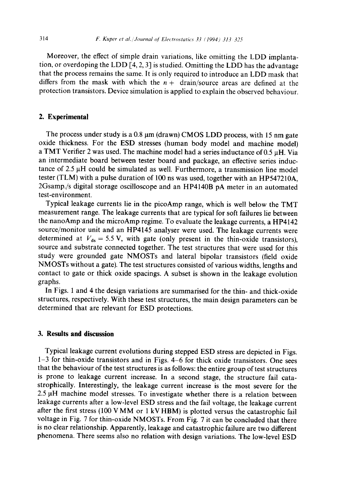Moreover, the effect of simple drain variations, like omitting the LDD implantation, or overdoping the LDD [4, 2, 3] is studied. Omitting the LDD has the advantage that the process remains the same. It is only required to introduce an LDD mask that differs from the mask with which the  $n +$  drain/source areas are defined at the protection transistors. Device simulation is applied to explain the observed behaviour.

## **2. Experimental**

The process under study is a 0.8  $\mu$ m (drawn) CMOS LDD process, with 15 nm gate oxide thickness. For the ESD stresses (human body model and machine model) a TMT Verifier 2 was used. The machine model had a series inductance of 0.5  $\mu$ H. Via an intermediate board between tester board and package, an effective series inductance of  $2.5 \mu$ H could be simulated as well. Furthermore, a transmission line model tester (TLM) with a pulse duration of 100 ns was used, together with an HP547210A, 2Gsamp./s digital storage oscilloscope and an HP4140B pA meter in an automated test-environment.

Typical leakage currents lie in the picoAmp range, which is well below the TMT measurement range. The leakage currents that are typical for soft failures lie between the nanoAmp and the microAmp regime. To evaluate the leakage currents, a HP4142 source/monitor unit and an HP4145 analyser were used. The leakage currents were determined at  $V_{ds} = 5.5$  V, with gate (only present in the thin-oxide transistors), source and substrate connected together. The test structures that were used for this study were grounded gate NMOSTs and lateral bipolar transistors (field oxide NMOSTs without a gate). The test structures consisted of various widths, lengths and contact to gate or thick oxide spacings. A subset is shown in the leakage evolution graphs.

In Figs. 1 and 4 the design variations are summarised for the thin- and thick-oxide structures, respectively. With these test structures, the main design parameters can be determined that are relevant for ESD protections.

### **3. Results and discussion**

Typical leakage current evolutions during stepped ESD stress are depicted in Figs. 1-3 for thin-oxide transistors and in Figs. 4-6 for thick oxide transistors. One sees that the behaviour of the test structures is as follows: the entire group of test structures is prone to leakage current increase. In a second stage, the structure fail catastrophically. Interestingly, the leakage current increase is the most severe for the  $2.5 \mu$ H machine model stresses. To investigate whether there is a relation between leakage currents after a low-level ESD stress and the fail voltage, the leakage current after the first stress (100 V MM or 1 kV HBM) is plotted versus the catastrophic fail voltage in Fig. 7 for thin-oxide NMOSTs. From Fig. 7 it can be concluded that there is no clear relationship. Apparently, leakage and catastrophic failure are two different phenomena. There seems also no relation with design variations. The low-level ESD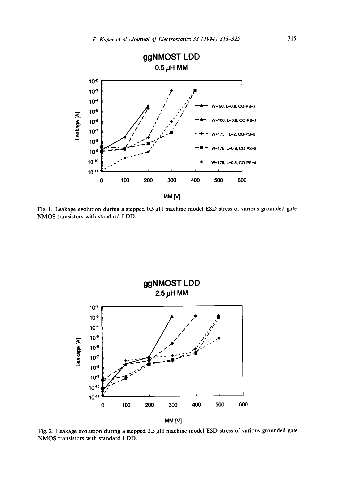

Fig. 1. Leakage evolution during a stepped 0.5 µH machine model ESD stress of various grounded gate NMOS transistors with standard LDD.



Fig. 2. Leakage evolution during a stepped 2.5 µH machine model ESD stress of various grounded gate NMOS transistors with standard LDD.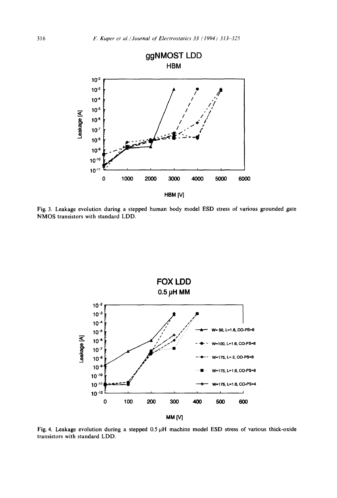

Fig. 3. Leakage evolution during a stepped human body model ESD stress of various grounded gate NMOS transistors with standard LDD.



Fig. 4. Leakage evolution during a stepped  $0.5 \mu$ H machine model ESD stress of various thick-oxide transistors with standard LDD.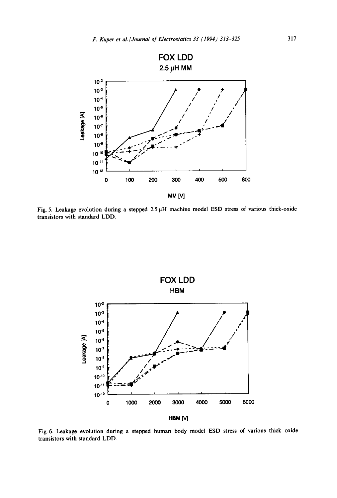

Fig. 5. Leakage evolution during a stepped  $2.5 \mu$ H machine model ESD stress of various thick-oxide transistors with standard LDD.



Fig. 6. Leakage evolution during a stepped human body model ESD stress of various thick oxide transistors with standard LDD.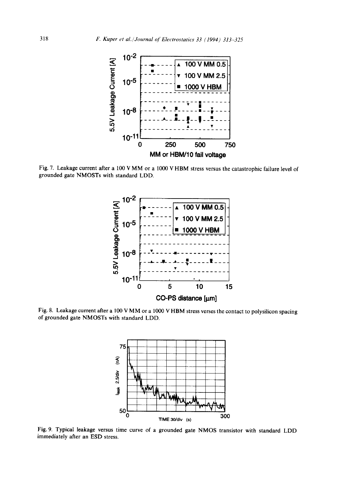

Fig. 7. Leakage current after a 100 V MM or a 1000 V HBM stress versus the catastrophic failure level of grounded gate NMOSTs with standard LDD.



Fig. 8. Leakage current after a 100 V MM or a 1000 V HBM stress verses the contact to polysilicon spacing of grounded gate NMOSTs with standard LDD.



Fig. 9. Typical leakage versus time curve of a grounded gate NMOS transistor with standard LDD immediately after an ESD stress.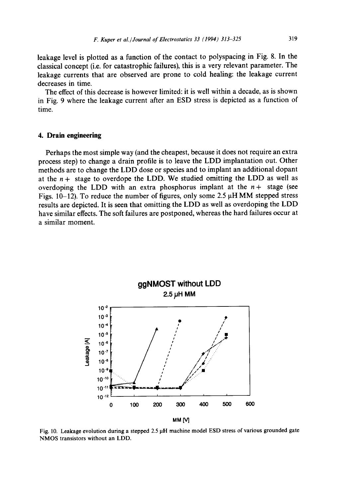leakage level is plotted as a function of the contact to polyspacing in Fig. 8. In the classical concept (i.e. for catastrophic failures), this is a very relevant parameter. The leakage currents that are observed are prone to cold healing: the leakage current decreases in time.

The effect of this decrease is however limited: it is well within a decade, as is shown in Fig. 9 where the leakage current after an ESD stress is depicted as a function of time.

## **4. Drain engineering**

Perhaps the most simple way (and the cheapest, because it does not require an extra process step) to change a drain profile is to leave the LDD implantation out. Other methods are to change the LDD dose or species and to implant an additional dopant at the  $n +$  stage to overdope the LDD. We studied omitting the LDD as well as overdoping the LDD with an extra phosphorus implant at the  $n +$  stage (see Figs.  $10-12$ ). To reduce the number of figures, only some 2.5  $\mu$ H MM stepped stress results are depicted. It is seen that omitting the LDD as well as overdoping the LDD have similar effects. The soft failures are postponed, whereas the hard failures occur at a similar moment.



Fig. 10. Leakage evolution during a stepped 2.5 µH machine model ESD stress of various grounded gate NMOS transistors without an LDD.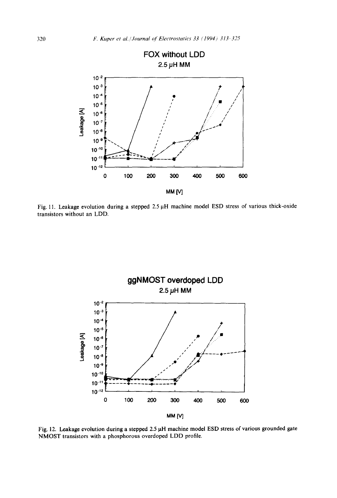

Fig. 11. Leakage evolution during a stepped 2.5 µH machine model ESD stress of various thick-oxide transistors without an LDD.



Fig. 12. Leakage evolution during a stepped 2.5 µH machine model ESD stress of various grounded gate NMOST transistors with a phosphorous overdoped LDD profile.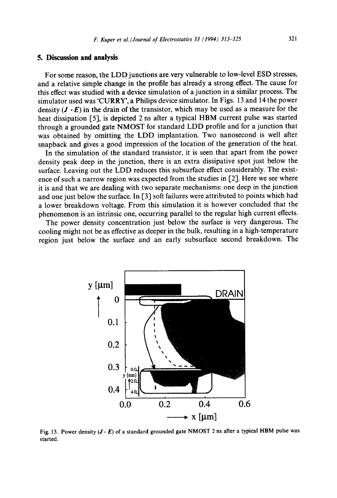## **5. Discussion and analysis**

For some reason, the LDD junctions are very vulnerable to low-level ESD stresses, and a relative simple change in the profile has already a strong effect. The cause for this effect was studied with a device simulation of a junction in a similar process. The simulator used was 'CURRY', a Philips device simulator. In Figs. 13 and 14 the power density  $(J \cdot E)$  in the drain of the transistor, which may be used as a measure for the heat dissipation [5], is depicted 2 ns after a typical HBM current pulse was started through a grounded gate NMOST for standard LDD profile and for a junction that was obtained by omitting the LDD implantation. Two nanosecond is well after snapback and gives a good impression of the location of the generation of the heat.

In the simulation of the standard transistor, it is seen that apart from the power density peak deep in the junction, there is an extra dissipative spot just below the surface. Leaving out the LDD reduces this subsurface effect considerably. The existence of such a narrow region was expected from the studies in [2]. Here we see where it is and that we are dealing with two separate mechanisms: one deep in the junction and one just below the surface. In [3] soft failures were attributed to points which had a lower breakdown voltage. From this simulation it is however concluded that the phenomenon is an intrinsic one, occurring parallel to the regular high current effects.

The power density concentration just below the surface is very dangerous. The cooling might not be as effective as deeper in the bulk, resulting in a high-temperature region just below the surface and an early subsurface second breakdown. The



Fig. 13. Power density  $(J \cdot E)$  of a standard grounded gate NMOST 2 ns after a typical HBM pulse was started.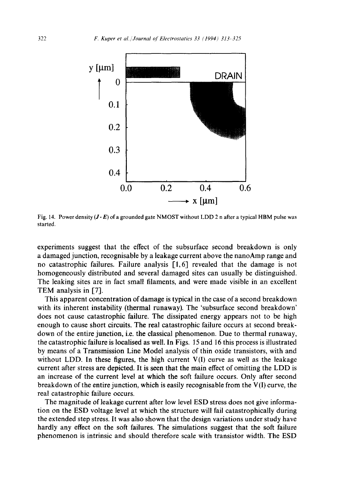

Fig. 14. Power density  $(J \cdot E)$  of a grounded gate NMOST without LDD 2 n after a typical HBM pulse was started.

experiments suggest that the effect of the subsurface second breakdown is only a damaged junction, recognisable by a leakage current above the nanoAmp range and no catastrophic failures. Failure analysis [1,6] revealed that the damage is not homogeneously distributed and several damaged sites can usually be distinguished. The leaking sites are in fact small filaments, and were made visible in an excellent TEM analysis in [7].

This apparent concentration of damage is typical in the case of a second breakdown with its inherent instability (thermal runaway). The 'subsurface second breakdown' does not cause catastrophic failure. The dissipated energy appears not to be high enough to cause short circuits. The real catastrophic failure occurs at second breakdown of the entire junction, i.e. the classical phenomenon. Due to thermal runaway, the catastrophic failure is localised as well. In Figs. 15 and 16 this process is illustrated by means of a Transmission Line Model analysis of thin oxide transistors, with and without LDD. In these figures, the high current  $V(I)$  curve as well as the leakage current after stress are depicted. It is seen that the main effect of omitting the LDD is an increase of the current level at which the soft failure occurs. Only after second breakdown of the entire junction, which is easily recognisable from the  $V(I)$  curve, the real catastrophic failure occurs.

The magnitude of leakage current after low level ESD stress does not give information on the ESD voltage level at which the structure will fail catastrophically during the extended step stress. It was also shown that the design variations under study have hardly any effect on the soft failures. The simulations suggest that the soft failure phenomenon is intrinsic and should therefore scale with transistor width. The ESD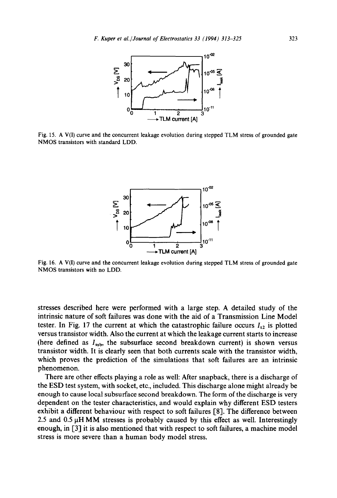

Fig. 15. A V(I) curve and the concurrent leakage evolution during stepped TLM stress of grounded gate NMOS transistors with standard LDD.



Fig. 16. A V(I) curve and the concurrent leakage evolution during stepped TLM stress of grounded gate NMOS transistors with no LDD.

stresses described here were performed with a large step. A detailed study of the intrinsic nature of soft failures was done with the aid of a Transmission Line Model tester. In Fig. 17 the current at which the catastrophic failure occurs  $I_{12}$  is plotted versus transistor width. Also the current at which the leakage current starts to increase (here defined as  $I_{\text{ssb}}$ , the subsurface second breakdown current) is shown versus transistor width. It is clearly seen that both currents scale with the transistor width, which proves the prediction of the simulations that soft failures are an intrinsic phenomenon.

There are other effects playing a role as well: After snapback, there is a discharge of the ESD test system, with socket, etc., included. This discharge alone might already be enough to cause local subsurface second breakdown. The form of the discharge is very dependent on the tester characteristics, and would explain why different ESD testers exhibit a different behaviour with respect to soft failures [8]. The difference between 2.5 and 0.5  $\mu$ H MM stresses is probably caused by this effect as well. Interestingly enough, in [3] it is also mentioned that with respect to soft failures, a machine model stress is more severe than a human body model stress.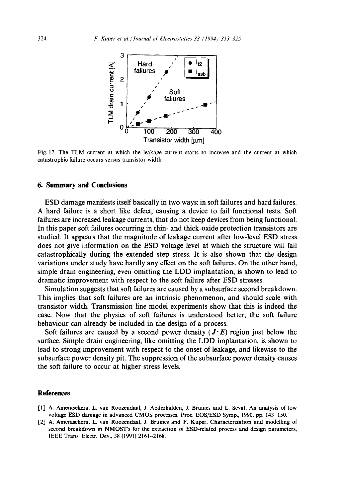

Fig. 17. The TLM current at which the leakage current starts to increase and the current at which catastrophic failure occurs versus transistor width.

## **6. Summary and Conclusions**

ESD damage manifests itself basically in two ways: in soft failures and hard failures. A hard failure is a short like defect, causing a device to fail functional tests. Soft failures are increased leakage currents, that do not keep devices from being functional. In this paper soft failures occurring in thin- and thick-oxide protection transistors are studied. It appears that the magnitude of leakage current after low-level ESD stress does not give information on the ESD voltage level at which the structure will fail catastrophically during the extended step stress. It is also shown that the design variations under study have hardly any effect on the soft failures. On the other hand, simple drain engineering, even omitting the LDD implantation, is shown to lead to dramatic improvement with respect to the soft failure after ESD stresses.

Simulation suggests that soft failures are caused by a subsurface second breakdown. This implies that soft failures are an intrinsic phenomenon, and should scale with transistor width. Transmission line model experiments show that this is indeed the case. Now that the physics of soft failures is understood better, the soft failure behaviour can already be included in the design of a process.

Soft failures are caused by a second power density  $(J \cdot E)$  region just below the surface. Simple drain engineering, like omitting the LDD implantation, is shown to lead to strong improvement with respect to the onset of leakage, and likewise to the subsurface power density pit. The suppression of the subsurface power density causes the soft failure to occur at higher stress levels.

### **References**

- [1] A. Amerasekera, L. van Roozendaal, J. Abderhalden, J. Bruines and L. Sevat, An analysis of low voltage ESD damage in advanced CMOS processes, Proc. EOS/ESD Symp., 1990, pp. 143-150.
- [2] A. Amerasekera, L. van Roozendaal, J. Bruines and F. Kuper, Characterization and modelling of second breakdown in NMOST's for the extraction of ESD-related process and design parameters, IEEE Trans. Electr. Dev., 38 (1991) 2161-2168.